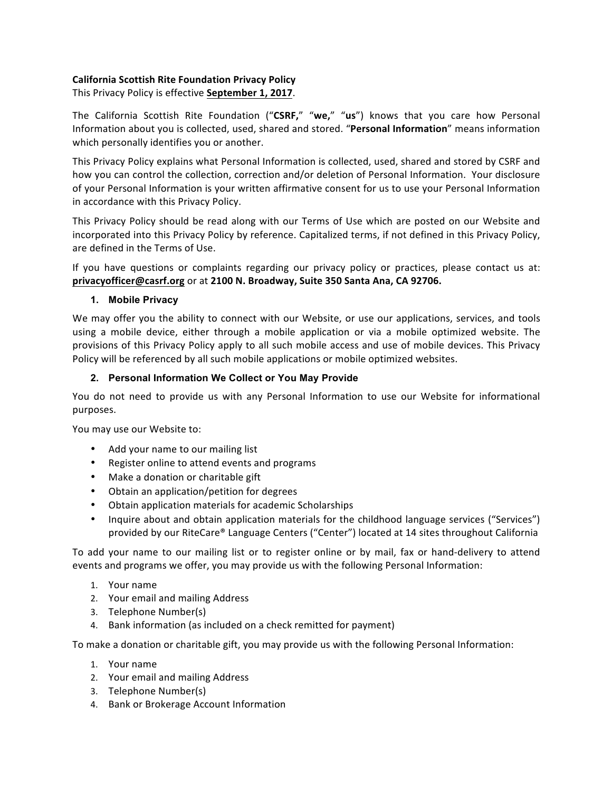# **California Scottish Rite Foundation Privacy Policy**

This Privacy Policy is effective **September 1, 2017**.

The California Scottish Rite Foundation ("CSRF," "we," "us") knows that you care how Personal Information about you is collected, used, shared and stored. "Personal Information" means information which personally identifies you or another.

This Privacy Policy explains what Personal Information is collected, used, shared and stored by CSRF and how you can control the collection, correction and/or deletion of Personal Information. Your disclosure of your Personal Information is your written affirmative consent for us to use your Personal Information in accordance with this Privacy Policy.

This Privacy Policy should be read along with our Terms of Use which are posted on our Website and incorporated into this Privacy Policy by reference. Capitalized terms, if not defined in this Privacy Policy, are defined in the Terms of Use.

If you have questions or complaints regarding our privacy policy or practices, please contact us at: **privacyofficer@casrf.org** or at **2100 N. Broadway, Suite 350 Santa Ana, CA 92706.**

## **1. Mobile Privacy**

We may offer you the ability to connect with our Website, or use our applications, services, and tools using a mobile device, either through a mobile application or via a mobile optimized website. The provisions of this Privacy Policy apply to all such mobile access and use of mobile devices. This Privacy Policy will be referenced by all such mobile applications or mobile optimized websites.

## **2. Personal Information We Collect or You May Provide**

You do not need to provide us with any Personal Information to use our Website for informational purposes.

You may use our Website to:

- Add your name to our mailing list
- Register online to attend events and programs
- Make a donation or charitable gift
- Obtain an application/petition for degrees
- Obtain application materials for academic Scholarships
- Inquire about and obtain application materials for the childhood language services ("Services") provided by our RiteCare® Language Centers ("Center") located at 14 sites throughout California

To add your name to our mailing list or to register online or by mail, fax or hand-delivery to attend events and programs we offer, you may provide us with the following Personal Information:

- 1. Your name
- 2. Your email and mailing Address
- 3. Telephone Number(s)
- 4. Bank information (as included on a check remitted for payment)

To make a donation or charitable gift, you may provide us with the following Personal Information:

- 1. Your name
- 2. Your email and mailing Address
- 3. Telephone Number(s)
- 4. Bank or Brokerage Account Information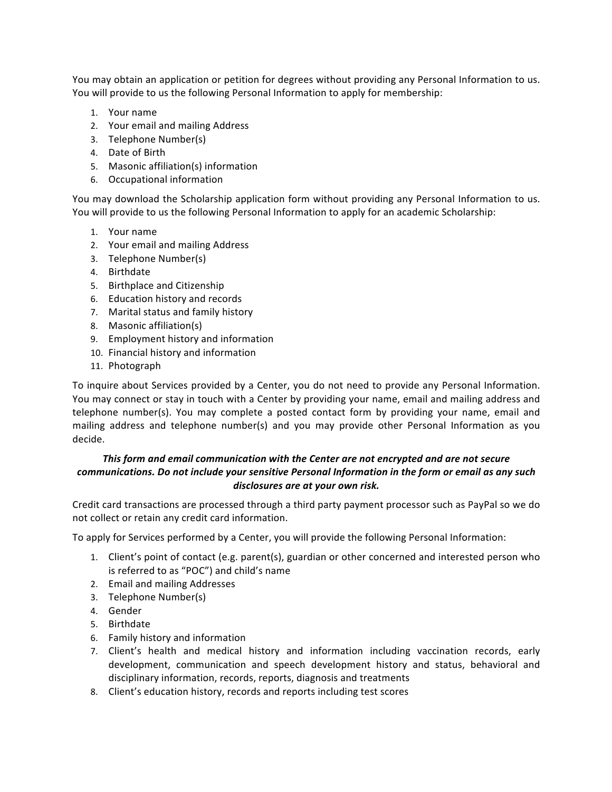You may obtain an application or petition for degrees without providing any Personal Information to us. You will provide to us the following Personal Information to apply for membership:

- 1. Your name
- 2. Your email and mailing Address
- 3. Telephone Number(s)
- 4. Date of Birth
- 5. Masonic affiliation(s) information
- 6. Occupational information

You may download the Scholarship application form without providing any Personal Information to us. You will provide to us the following Personal Information to apply for an academic Scholarship:

- 1. Your name
- 2. Your email and mailing Address
- 3. Telephone Number(s)
- 4. Birthdate
- 5. Birthplace and Citizenship
- 6. Education history and records
- 7. Marital status and family history
- 8. Masonic affiliation(s)
- 9. Employment history and information
- 10. Financial history and information
- 11. Photograph

To inquire about Services provided by a Center, you do not need to provide any Personal Information. You may connect or stay in touch with a Center by providing your name, email and mailing address and telephone number(s). You may complete a posted contact form by providing your name, email and mailing address and telephone number(s) and you may provide other Personal Information as you decide. 

### **This form and email communication with the Center are not encrypted and are not secure** *communications. Do not include your sensitive Personal Information in the form or email as any such disclosures are at your own risk.*

Credit card transactions are processed through a third party payment processor such as PayPal so we do not collect or retain any credit card information.

To apply for Services performed by a Center, you will provide the following Personal Information:

- 1. Client's point of contact (e.g. parent(s), guardian or other concerned and interested person who is referred to as "POC") and child's name
- 2. Email and mailing Addresses
- 3. Telephone Number(s)
- 4. Gender
- 5. Birthdate
- 6. Family history and information
- 7. Client's health and medical history and information including vaccination records, early development, communication and speech development history and status, behavioral and disciplinary information, records, reports, diagnosis and treatments
- 8. Client's education history, records and reports including test scores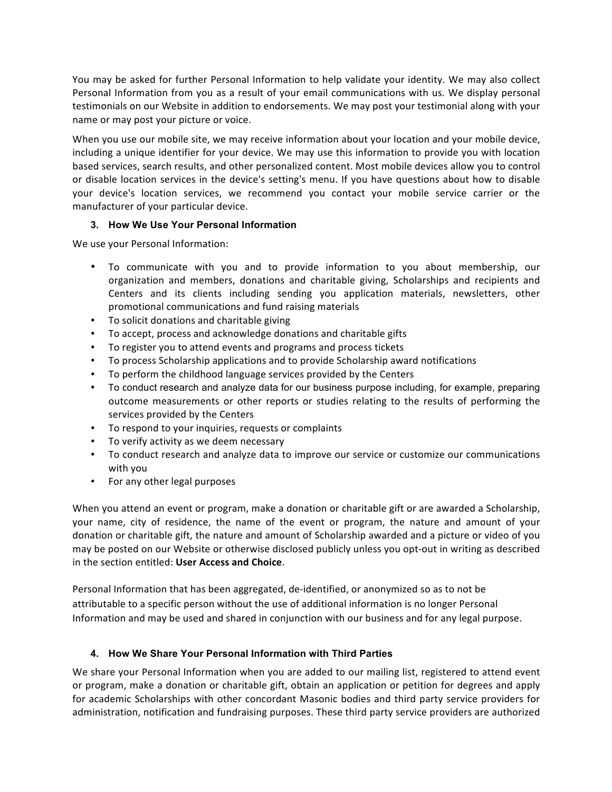You may be asked for further Personal Information to help validate your identity. We may also collect Personal Information from you as a result of your email communications with us. We display personal testimonials on our Website in addition to endorsements. We may post your testimonial along with your name or may post your picture or voice.

When you use our mobile site, we may receive information about your location and your mobile device, including a unique identifier for your device. We may use this information to provide you with location based services, search results, and other personalized content. Most mobile devices allow you to control or disable location services in the device's setting's menu. If you have questions about how to disable your device's location services, we recommend you contact your mobile service carrier or the manufacturer of your particular device.

## **3. How We Use Your Personal Information**

We use your Personal Information:

- To communicate with you and to provide information to you about membership, our organization and members, donations and charitable giving, Scholarships and recipients and Centers and its clients including sending you application materials, newsletters, other promotional communications and fund raising materials
- To solicit donations and charitable giving
- To accept, process and acknowledge donations and charitable gifts
- To register you to attend events and programs and process tickets
- To process Scholarship applications and to provide Scholarship award notifications
- To perform the childhood language services provided by the Centers
- To conduct research and analyze data for our business purpose including, for example, preparing outcome measurements or other reports or studies relating to the results of performing the services provided by the Centers
- To respond to your inquiries, requests or complaints
- To verify activity as we deem necessary
- To conduct research and analyze data to improve our service or customize our communications with you
- For any other legal purposes

When you attend an event or program, make a donation or charitable gift or are awarded a Scholarship, your name, city of residence, the name of the event or program, the nature and amount of your donation or charitable gift, the nature and amount of Scholarship awarded and a picture or video of you may be posted on our Website or otherwise disclosed publicly unless you opt-out in writing as described in the section entitled: User Access and Choice.

Personal Information that has been aggregated, de-identified, or anonymized so as to not be attributable to a specific person without the use of additional information is no longer Personal Information and may be used and shared in conjunction with our business and for any legal purpose.

#### **4. How We Share Your Personal Information with Third Parties**

We share your Personal Information when you are added to our mailing list, registered to attend event or program, make a donation or charitable gift, obtain an application or petition for degrees and apply for academic Scholarships with other concordant Masonic bodies and third party service providers for administration, notification and fundraising purposes. These third party service providers are authorized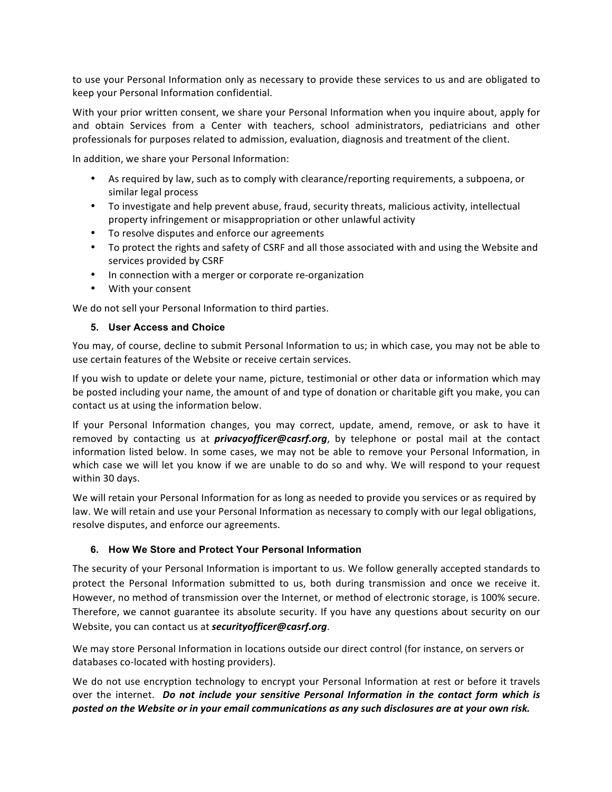to use your Personal Information only as necessary to provide these services to us and are obligated to keep your Personal Information confidential.

With your prior written consent, we share your Personal Information when you inquire about, apply for and obtain Services from a Center with teachers, school administrators, pediatricians and other professionals for purposes related to admission, evaluation, diagnosis and treatment of the client.

In addition, we share your Personal Information:

- As required by law, such as to comply with clearance/reporting requirements, a subpoena, or similar legal process
- To investigate and help prevent abuse, fraud, security threats, malicious activity, intellectual property infringement or misappropriation or other unlawful activity
- To resolve disputes and enforce our agreements
- To protect the rights and safety of CSRF and all those associated with and using the Website and services provided by CSRF
- In connection with a merger or corporate re-organization
- With your consent

We do not sell your Personal Information to third parties.

#### **5. User Access and Choice**

You may, of course, decline to submit Personal Information to us; in which case, you may not be able to use certain features of the Website or receive certain services.

If you wish to update or delete your name, picture, testimonial or other data or information which may be posted including your name, the amount of and type of donation or charitable gift you make, you can contact us at using the information below.

If your Personal Information changes, you may correct, update, amend, remove, or ask to have it removed by contacting us at *privacyofficer@casrf.org*, by telephone or postal mail at the contact information listed below. In some cases, we may not be able to remove your Personal Information, in which case we will let you know if we are unable to do so and why. We will respond to your request within 30 days.

We will retain your Personal Information for as long as needed to provide you services or as required by law. We will retain and use your Personal Information as necessary to comply with our legal obligations, resolve disputes, and enforce our agreements.

#### **6. How We Store and Protect Your Personal Information**

The security of your Personal Information is important to us. We follow generally accepted standards to protect the Personal Information submitted to us, both during transmission and once we receive it. However, no method of transmission over the Internet, or method of electronic storage, is 100% secure. Therefore, we cannot guarantee its absolute security. If you have any questions about security on our Website, you can contact us at **securityofficer@casrf.org**.

We may store Personal Information in locations outside our direct control (for instance, on servers or databases co-located with hosting providers).

We do not use encryption technology to encrypt your Personal Information at rest or before it travels over the internet. Do not include your sensitive Personal Information in the contact form which is posted on the Website or in your email communications as any such disclosures are at your own risk.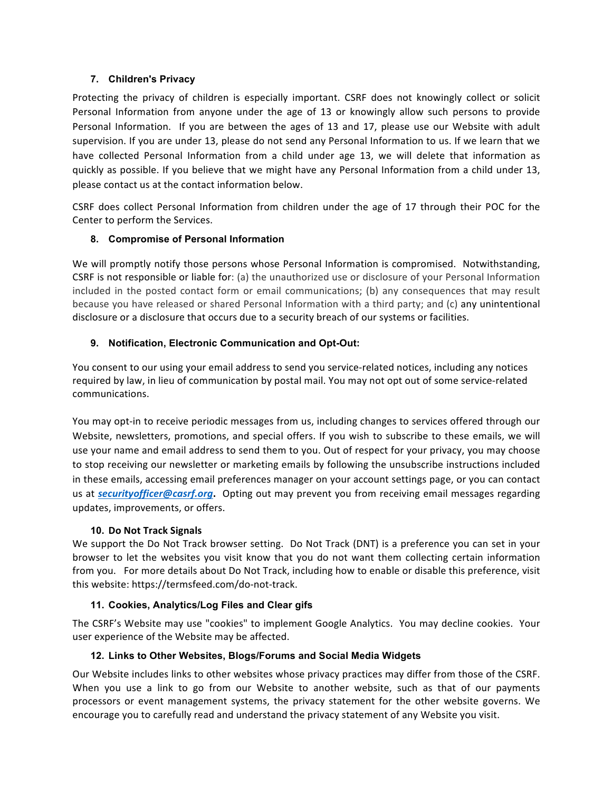## **7. Children's Privacy**

Protecting the privacy of children is especially important. CSRF does not knowingly collect or solicit Personal Information from anyone under the age of 13 or knowingly allow such persons to provide Personal Information. If you are between the ages of 13 and 17, please use our Website with adult supervision. If you are under 13, please do not send any Personal Information to us. If we learn that we have collected Personal Information from a child under age 13, we will delete that information as quickly as possible. If you believe that we might have any Personal Information from a child under 13, please contact us at the contact information below.

CSRF does collect Personal Information from children under the age of 17 through their POC for the Center to perform the Services.

# **8. Compromise of Personal Information**

We will promptly notify those persons whose Personal Information is compromised. Notwithstanding, CSRF is not responsible or liable for: (a) the unauthorized use or disclosure of your Personal Information included in the posted contact form or email communications; (b) any consequences that may result because you have released or shared Personal Information with a third party; and (c) any unintentional disclosure or a disclosure that occurs due to a security breach of our systems or facilities.

# **9. Notification, Electronic Communication and Opt-Out:**

You consent to our using your email address to send you service-related notices, including any notices required by law, in lieu of communication by postal mail. You may not opt out of some service-related communications.

You may opt-in to receive periodic messages from us, including changes to services offered through our Website, newsletters, promotions, and special offers. If you wish to subscribe to these emails, we will use your name and email address to send them to you. Out of respect for your privacy, you may choose to stop receiving our newsletter or marketing emails by following the unsubscribe instructions included in these emails, accessing email preferences manager on your account settings page, or you can contact us at **securityofficer@casrf.org**. Opting out may prevent you from receiving email messages regarding updates, improvements, or offers.

#### **10. Do Not Track Signals**

We support the Do Not Track browser setting. Do Not Track (DNT) is a preference you can set in your browser to let the websites you visit know that you do not want them collecting certain information from you. For more details about Do Not Track, including how to enable or disable this preference, visit this website: https://termsfeed.com/do-not-track.

# **11. Cookies, Analytics/Log Files and Clear gifs**

The CSRF's Website may use "cookies" to implement Google Analytics. You may decline cookies. Your user experience of the Website may be affected.

# **12. Links to Other Websites, Blogs/Forums and Social Media Widgets**

Our Website includes links to other websites whose privacy practices may differ from those of the CSRF. When you use a link to go from our Website to another website, such as that of our payments processors or event management systems, the privacy statement for the other website governs. We encourage you to carefully read and understand the privacy statement of any Website you visit.